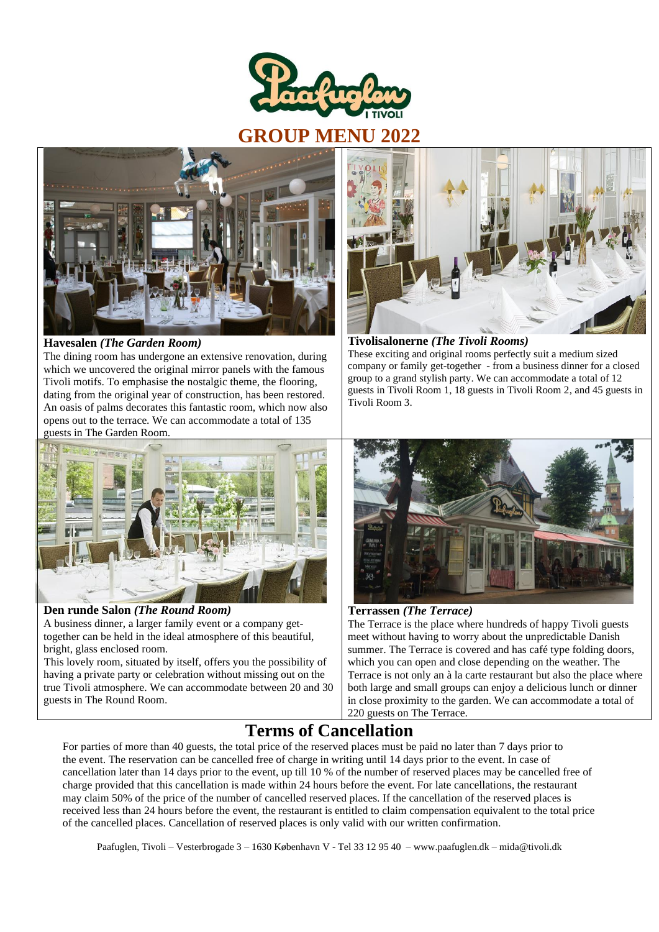

## **GROUP MENU 2022**



#### **Havesalen** *(The Garden Room)*

The dining room has undergone an extensive renovation, during which we uncovered the original mirror panels with the famous Tivoli motifs. To emphasise the nostalgic theme, the flooring, dating from the original year of construction, has been restored. An oasis of palms decorates this fantastic room, which now also opens out to the terrace. We can accommodate a total of 135 guests in The Garden Room.



#### **Den runde Salon** *(The Round Room)*

A business dinner, a larger family event or a company gettogether can be held in the ideal atmosphere of this beautiful, bright, glass enclosed room.

 This lovely room, situated by itself, offers you the possibility of having a private party or celebration without missing out on the true Tivoli atmosphere. We can accommodate between 20 and 30 guests in The Round Room.



#### **Tivolisalonerne** *(The Tivoli Rooms)*

These exciting and original rooms perfectly suit a medium sized company or family get-together - from a business dinner for a closed group to a grand stylish party. We can accommodate a total of 12 guests in Tivoli Room 1, 18 guests in Tivoli Room 2, and 45 guests in Tivoli Room 3.



#### **Terrassen** *(The Terrace)*

The Terrace is the place where hundreds of happy Tivoli guests meet without having to worry about the unpredictable Danish summer. The Terrace is covered and has café type folding doors, which you can open and close depending on the weather. The Terrace is not only an à la carte restaurant but also the place where both large and small groups can enjoy a delicious lunch or dinner in close proximity to the garden. We can accommodate a total of 220 guests on The Terrace.

### **Terms of Cancellation**

For parties of more than 40 guests, the total price of the reserved places must be paid no later than 7 days prior to the event. The reservation can be cancelled free of charge in writing until 14 days prior to the event. In case of cancellation later than 14 days prior to the event, up till 10 % of the number of reserved places may be cancelled free of charge provided that this cancellation is made within 24 hours before the event. For late cancellations, the restaurant may claim 50% of the price of the number of cancelled reserved places. If the cancellation of the reserved places is received less than 24 hours before the event, the restaurant is entitled to claim compensation equivalent to the total price of the cancelled places. Cancellation of reserved places is only valid with our written confirmation.

Paafuglen, Tivoli – Vesterbrogade 3 – 1630 København V - Tel 33 12 95 40 – www.paafuglen.dk – mida@tivoli.dk